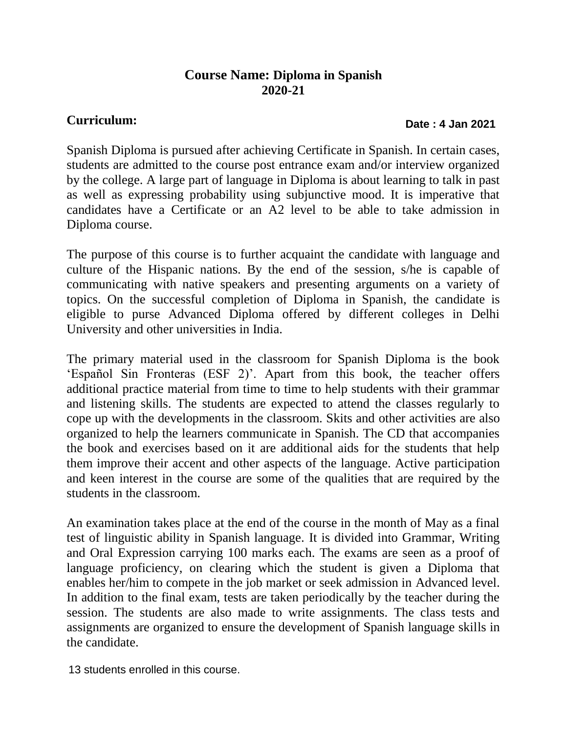## **Course Name: Diploma in Spanish 2020-21**

## **Curriculum:**

## **Date : 4 Jan 2021**

Spanish Diploma is pursued after achieving Certificate in Spanish. In certain cases, students are admitted to the course post entrance exam and/or interview organized by the college. A large part of language in Diploma is about learning to talk in past as well as expressing probability using subjunctive mood. It is imperative that candidates have a Certificate or an A2 level to be able to take admission in Diploma course.

The purpose of this course is to further acquaint the candidate with language and culture of the Hispanic nations. By the end of the session, s/he is capable of communicating with native speakers and presenting arguments on a variety of topics. On the successful completion of Diploma in Spanish, the candidate is eligible to purse Advanced Diploma offered by different colleges in Delhi University and other universities in India.

The primary material used in the classroom for Spanish Diploma is the book 'Español Sin Fronteras (ESF 2)'. Apart from this book, the teacher offers additional practice material from time to time to help students with their grammar and listening skills. The students are expected to attend the classes regularly to cope up with the developments in the classroom. Skits and other activities are also organized to help the learners communicate in Spanish. The CD that accompanies the book and exercises based on it are additional aids for the students that help them improve their accent and other aspects of the language. Active participation and keen interest in the course are some of the qualities that are required by the students in the classroom.

An examination takes place at the end of the course in the month of May as a final test of linguistic ability in Spanish language. It is divided into Grammar, Writing and Oral Expression carrying 100 marks each. The exams are seen as a proof of language proficiency, on clearing which the student is given a Diploma that enables her/him to compete in the job market or seek admission in Advanced level. In addition to the final exam, tests are taken periodically by the teacher during the session. The students are also made to write assignments. The class tests and assignments are organized to ensure the development of Spanish language skills in the candidate.

13 students enrolled in this course.